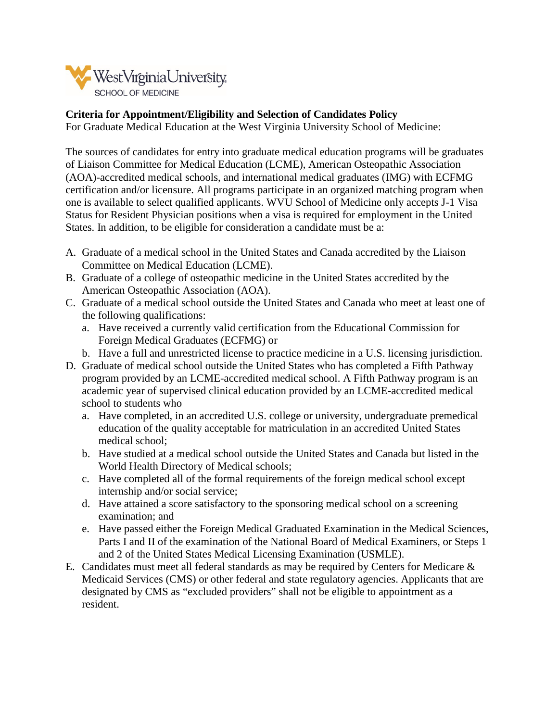

## **Criteria for Appointment/Eligibility and Selection of Candidates Policy**

For Graduate Medical Education at the West Virginia University School of Medicine:

The sources of candidates for entry into graduate medical education programs will be graduates of Liaison Committee for Medical Education (LCME), American Osteopathic Association (AOA)-accredited medical schools, and international medical graduates (IMG) with ECFMG certification and/or licensure. All programs participate in an organized matching program when one is available to select qualified applicants. WVU School of Medicine only accepts J-1 Visa Status for Resident Physician positions when a visa is required for employment in the United States. In addition, to be eligible for consideration a candidate must be a:

- A. Graduate of a medical school in the United States and Canada accredited by the Liaison Committee on Medical Education (LCME).
- B. Graduate of a college of osteopathic medicine in the United States accredited by the American Osteopathic Association (AOA).
- C. Graduate of a medical school outside the United States and Canada who meet at least one of the following qualifications:
	- a. Have received a currently valid certification from the Educational Commission for Foreign Medical Graduates (ECFMG) or
	- b. Have a full and unrestricted license to practice medicine in a U.S. licensing jurisdiction.
- D. Graduate of medical school outside the United States who has completed a Fifth Pathway program provided by an LCME-accredited medical school. A Fifth Pathway program is an academic year of supervised clinical education provided by an LCME-accredited medical school to students who
	- a. Have completed, in an accredited U.S. college or university, undergraduate premedical education of the quality acceptable for matriculation in an accredited United States medical school;
	- b. Have studied at a medical school outside the United States and Canada but listed in the World Health Directory of Medical schools;
	- c. Have completed all of the formal requirements of the foreign medical school except internship and/or social service;
	- d. Have attained a score satisfactory to the sponsoring medical school on a screening examination; and
	- e. Have passed either the Foreign Medical Graduated Examination in the Medical Sciences, Parts I and II of the examination of the National Board of Medical Examiners, or Steps 1 and 2 of the United States Medical Licensing Examination (USMLE).
- E. Candidates must meet all federal standards as may be required by Centers for Medicare & Medicaid Services (CMS) or other federal and state regulatory agencies. Applicants that are designated by CMS as "excluded providers" shall not be eligible to appointment as a resident.